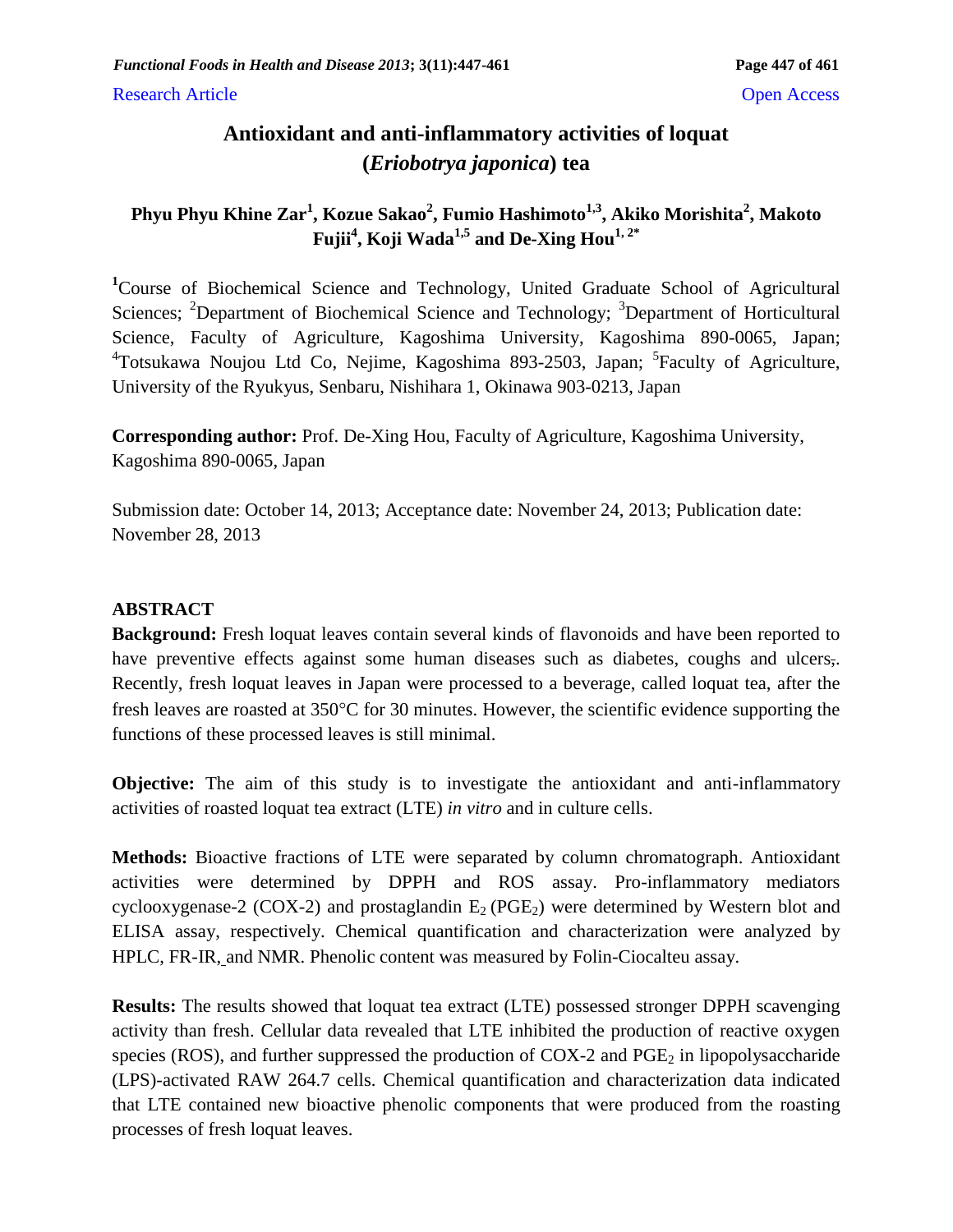# **Antioxidant and anti-inflammatory activities of loquat (***Eriobotrya japonica***) tea**

# **Phyu Phyu Khine Zar<sup>1</sup> , Kozue Sakao<sup>2</sup> , Fumio Hashimoto1,3, Akiko Morishita<sup>2</sup> , Makoto Fujii<sup>4</sup> , Koji Wada1,5 and De-Xing Hou1, 2\***

**<sup>1</sup>**Course of Biochemical Science and Technology, United Graduate School of Agricultural Sciences; <sup>2</sup>Department of Biochemical Science and Technology; <sup>3</sup>Department of Horticultural Science, Faculty of Agriculture, Kagoshima University, Kagoshima 890-0065, Japan; <sup>4</sup>Totsukawa Noujou Ltd Co, Nejime, Kagoshima 893-2503, Japan; <sup>5</sup>Faculty of Agriculture, University of the Ryukyus, Senbaru, Nishihara 1, Okinawa 903-0213, Japan

**Corresponding author:** Prof. De-Xing Hou, Faculty of Agriculture, Kagoshima University, Kagoshima 890-0065, Japan

Submission date: October 14, 2013; Acceptance date: November 24, 2013; Publication date: November 28, 2013

# **ABSTRACT**

**Background:** Fresh loquat leaves contain several kinds of flavonoids and have been reported to have preventive effects against some human diseases such as diabetes, coughs and ulcers,. Recently, fresh loquat leaves in Japan were processed to a beverage, called loquat tea, after the fresh leaves are roasted at  $350^{\circ}$ C for 30 minutes. However, the scientific evidence supporting the functions of these processed leaves is still minimal.

**Objective:** The aim of this study is to investigate the antioxidant and anti-inflammatory activities of roasted loquat tea extract (LTE) *in vitro* and in culture cells.

**Methods:** Bioactive fractions of LTE were separated by column chromatograph. Antioxidant activities were determined by DPPH and ROS assay. Pro-inflammatory mediators cyclooxygenase-2 (COX-2) and prostaglandin  $E_2(PGE_2)$  were determined by Western blot and ELISA assay, respectively. Chemical quantification and characterization were analyzed by HPLC, FR-IR, and NMR. Phenolic content was measured by Folin-Ciocalteu assay.

**Results:** The results showed that loquat tea extract (LTE) possessed stronger DPPH scavenging activity than fresh. Cellular data revealed that LTE inhibited the production of reactive oxygen species (ROS), and further suppressed the production of COX-2 and  $PGE_2$  in lipopolysaccharide (LPS)-activated RAW 264.7 cells. Chemical quantification and characterization data indicated that LTE contained new bioactive phenolic components that were produced from the roasting processes of fresh loquat leaves.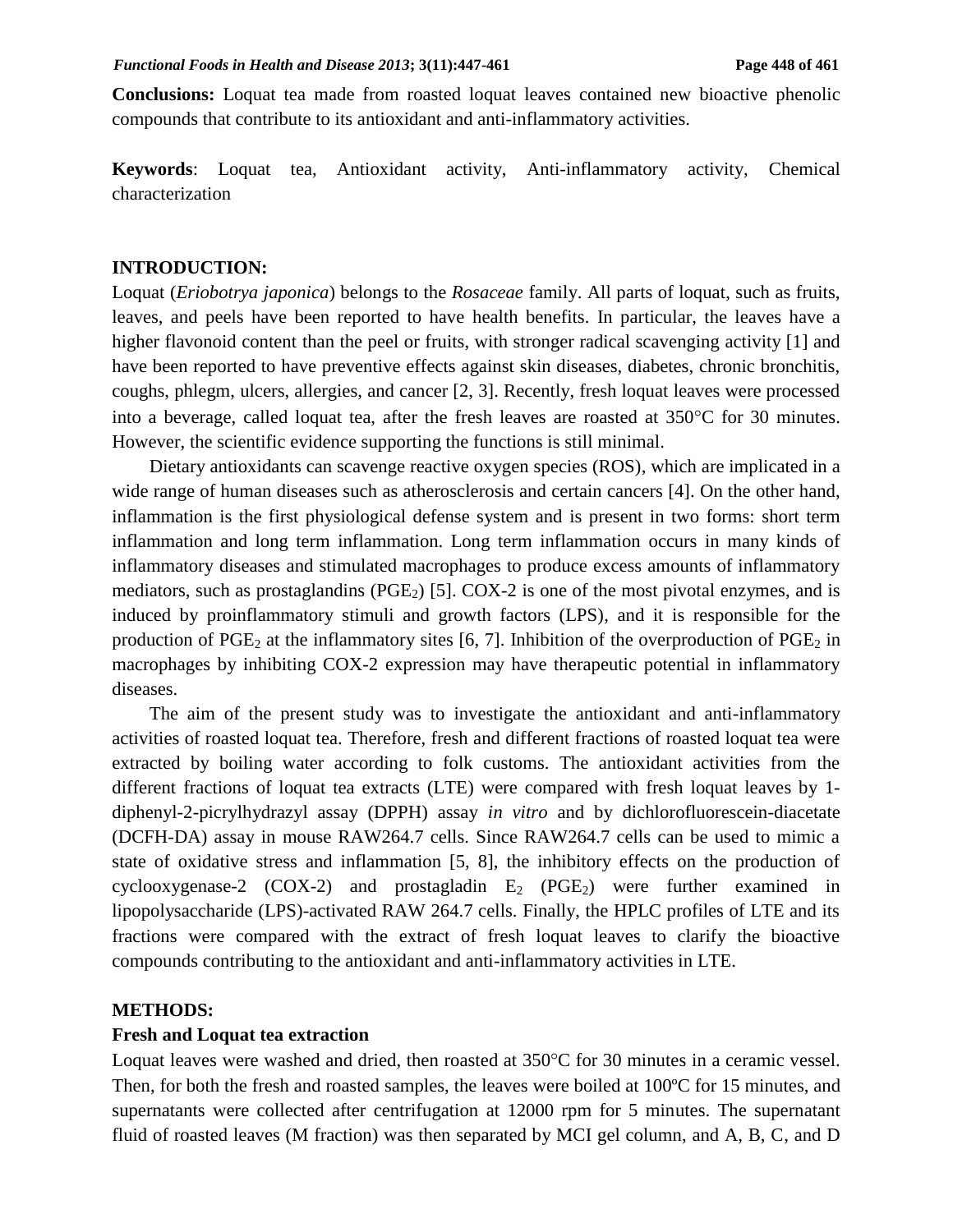**Conclusions:** Loquat tea made from roasted loquat leaves contained new bioactive phenolic compounds that contribute to its antioxidant and anti-inflammatory activities.

**Keywords**: Loquat tea, Antioxidant activity, Anti-inflammatory activity, Chemical characterization

#### **INTRODUCTION:**

Loquat (*Eriobotrya japonica*) belongs to the *Rosaceae* family. All parts of loquat, such as fruits, leaves, and peels have been reported to have health benefits. In particular, the leaves have a higher flavonoid content than the peel or fruits, with stronger radical scavenging activity [1] and have been reported to have preventive effects against skin diseases, diabetes, chronic bronchitis, coughs, phlegm, ulcers, allergies, and cancer [2, 3]. Recently, fresh loquat leaves were processed into a beverage, called loquat tea, after the fresh leaves are roasted at  $350^{\circ}$ C for 30 minutes. However, the scientific evidence supporting the functions is still minimal.

Dietary antioxidants can scavenge reactive oxygen species (ROS), which are implicated in a wide range of human diseases such as atherosclerosis and certain cancers [4]. On the other hand, inflammation is the first physiological defense system and is present in two forms: short term inflammation and long term inflammation. Long term inflammation occurs in many kinds of inflammatory diseases and stimulated macrophages to produce excess amounts of inflammatory mediators, such as prostaglandins ( $PGE_2$ ) [5]. COX-2 is one of the most pivotal enzymes, and is induced by proinflammatory stimuli and growth factors (LPS), and it is responsible for the production of  $PGE_2$  at the inflammatory sites [6, 7]. Inhibition of the overproduction of  $PGE_2$  in macrophages by inhibiting COX-2 expression may have therapeutic potential in inflammatory diseases.

The aim of the present study was to investigate the antioxidant and anti-inflammatory activities of roasted loquat tea. Therefore, fresh and different fractions of roasted loquat tea were extracted by boiling water according to folk customs. The antioxidant activities from the different fractions of loquat tea extracts (LTE) were compared with fresh loquat leaves by 1 diphenyl-2-picrylhydrazyl assay (DPPH) assay *in vitro* and by dichlorofluorescein-diacetate (DCFH-DA) assay in mouse RAW264.7 cells. Since RAW264.7 cells can be used to mimic a state of oxidative stress and inflammation [5, 8], the inhibitory effects on the production of cyclooxygenase-2 (COX-2) and prostagladin  $E_2$  (PGE<sub>2</sub>) were further examined in lipopolysaccharide (LPS)-activated RAW 264.7 cells. Finally, the HPLC profiles of LTE and its fractions were compared with the extract of fresh loquat leaves to clarify the bioactive compounds contributing to the antioxidant and anti-inflammatory activities in LTE.

#### **METHODS:**

#### **Fresh and Loquat tea extraction**

Loquat leaves were washed and dried, then roasted at  $350^{\circ}$ C for 30 minutes in a ceramic vessel. Then, for both the fresh and roasted samples, the leaves were boiled at 100ºC for 15 minutes, and supernatants were collected after centrifugation at 12000 rpm for 5 minutes. The supernatant fluid of roasted leaves (M fraction) was then separated by MCI gel column, and A, B, C, and D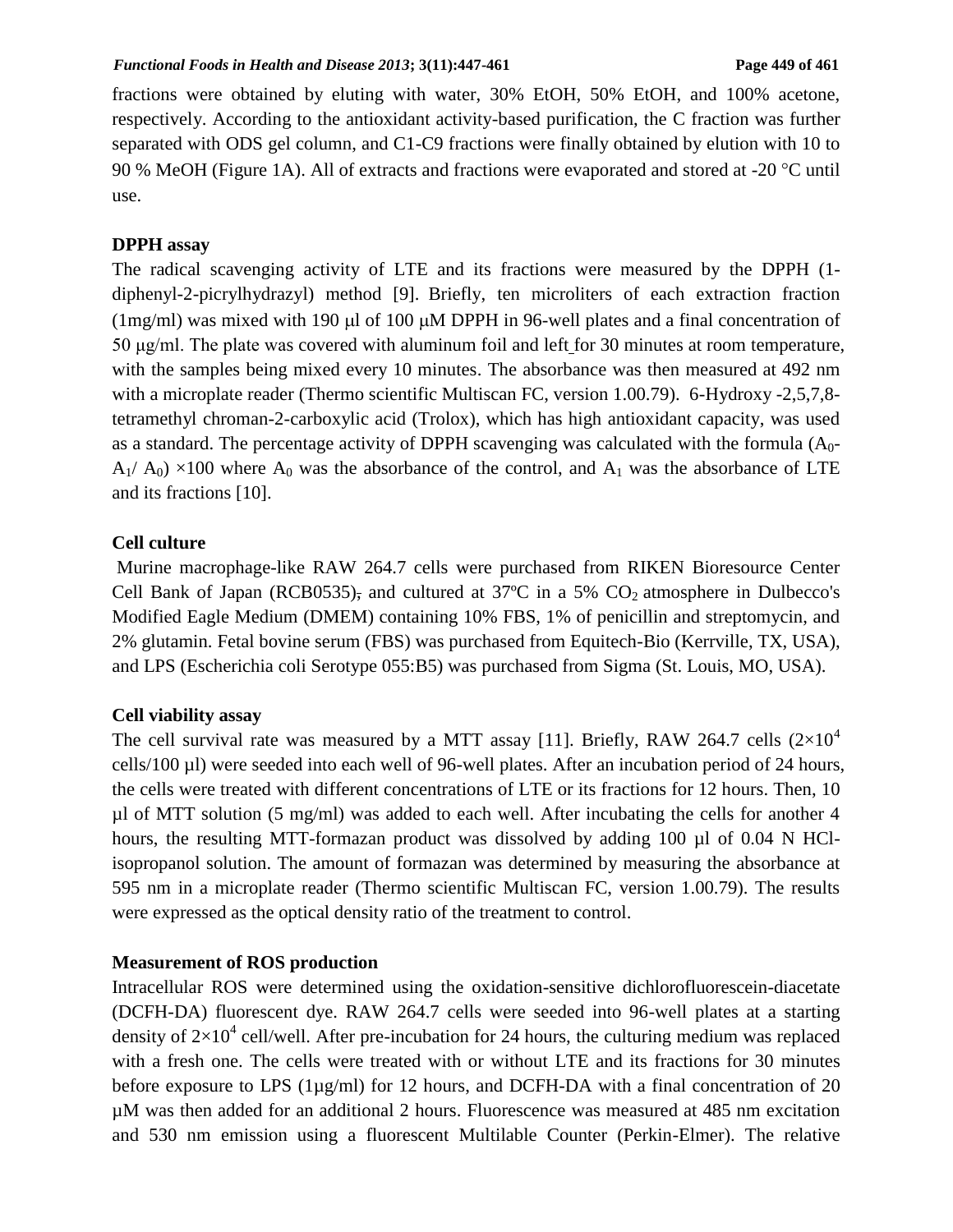fractions were obtained by eluting with water, 30% EtOH, 50% EtOH, and 100% acetone, respectively. According to the antioxidant activity-based purification, the C fraction was further separated with ODS gel column, and C1-C9 fractions were finally obtained by elution with 10 to 90 % MeOH (Figure 1A). All of extracts and fractions were evaporated and stored at -20  $^{\circ}$ C until use.

### **DPPH assay**

The radical scavenging activity of LTE and its fractions were measured by the DPPH (1 diphenyl-2-picrylhydrazyl) method [9]. Briefly, ten microliters of each extraction fraction (1mg/ml) was mixed with 190  $\mu$ l of 100  $\mu$ M DPPH in 96-well plates and a final concentration of 50 μg/ml. The plate was covered with aluminum foil and left for 30 minutes at room temperature, with the samples being mixed every 10 minutes. The absorbance was then measured at 492 nm with a microplate reader (Thermo scientific Multiscan FC, version 1.00.79). 6-Hydroxy -2,5,7,8tetramethyl chroman-2-carboxylic acid (Trolox), which has high antioxidant capacity, was used as a standard. The percentage activity of DPPH scavenging was calculated with the formula  $(A<sub>0</sub> A_1/A_0$ ) ×100 where  $A_0$  was the absorbance of the control, and  $A_1$  was the absorbance of LTE and its fractions [10].

## **Cell culture**

Murine macrophage-like RAW 264.7 cells were purchased from RIKEN Bioresource Center Cell Bank of Japan (RCB0535), and cultured at  $37^{\circ}$ C in a 5% CO<sub>2</sub> atmosphere in Dulbecco's Modified Eagle Medium (DMEM) containing 10% FBS, 1% of penicillin and streptomycin, and 2% glutamin. Fetal bovine serum (FBS) was purchased from Equitech-Bio (Kerrville, TX, USA), and LPS (Escherichia coli Serotype 055:B5) was purchased from Sigma (St. Louis, MO, USA).

### **Cell viability assay**

The cell survival rate was measured by a MTT assay [11]. Briefly, RAW 264.7 cells  $(2\times10^4$ cells/100 µl) were seeded into each well of 96-well plates. After an incubation period of 24 hours, the cells were treated with different concentrations of LTE or its fractions for 12 hours. Then, 10  $\mu$ l of MTT solution (5 mg/ml) was added to each well. After incubating the cells for another 4 hours, the resulting MTT-formazan product was dissolved by adding 100 µl of 0.04 N HClisopropanol solution. The amount of formazan was determined by measuring the absorbance at 595 nm in a microplate reader (Thermo scientific Multiscan FC, version 1.00.79). The results were expressed as the optical density ratio of the treatment to control.

### **Measurement of ROS production**

Intracellular ROS were determined using the oxidation-sensitive dichlorofluorescein-diacetate (DCFH-DA) fluorescent dye. RAW 264.7 cells were seeded into 96-well plates at a starting density of  $2\times10^4$  cell/well. After pre-incubation for 24 hours, the culturing medium was replaced with a fresh one. The cells were treated with or without LTE and its fractions for 30 minutes before exposure to LPS (1µg/ml) for 12 hours, and DCFH-DA with a final concentration of 20 µM was then added for an additional 2 hours. Fluorescence was measured at 485 nm excitation and 530 nm emission using a fluorescent Multilable Counter (Perkin-Elmer). The relative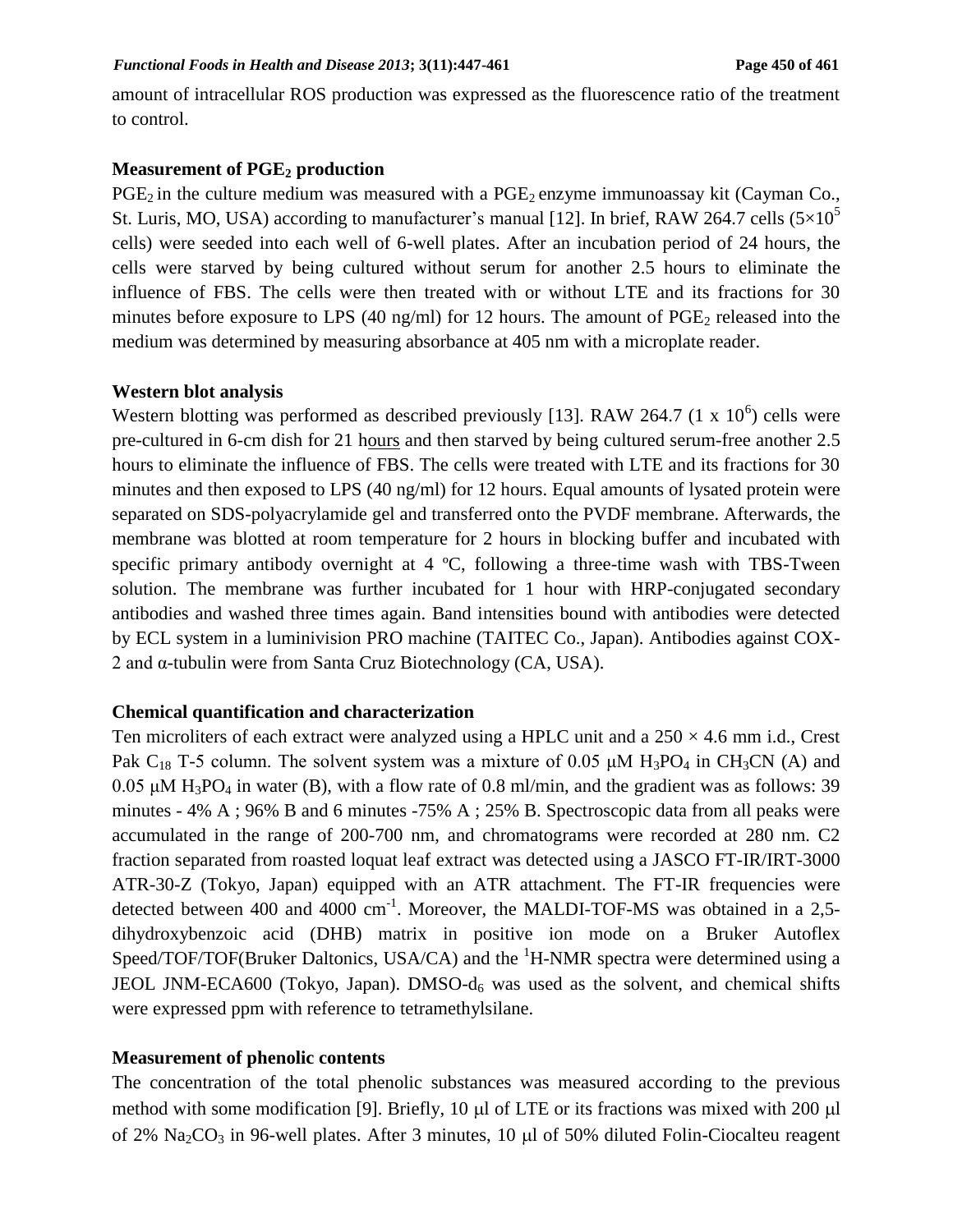amount of intracellular ROS production was expressed as the fluorescence ratio of the treatment to control.

## **Measurement of PGE<sup>2</sup> production**

 $PGE_2$  in the culture medium was measured with a  $PGE_2$  enzyme immunoassay kit (Cayman Co., St. Luris, MO, USA) according to manufacturer's manual [12]. In brief, RAW 264.7 cells  $(5\times10^5$ cells) were seeded into each well of 6-well plates. After an incubation period of 24 hours, the cells were starved by being cultured without serum for another 2.5 hours to eliminate the influence of FBS. The cells were then treated with or without LTE and its fractions for 30 minutes before exposure to LPS (40 ng/ml) for 12 hours. The amount of  $PGE_2$  released into the medium was determined by measuring absorbance at 405 nm with a microplate reader.

#### **Western blot analysis**

Western blotting was performed as described previously [13]. RAW 264.7  $(1 \times 10^6)$  cells were pre-cultured in 6-cm dish for 21 hours and then starved by being cultured serum-free another 2.5 hours to eliminate the influence of FBS. The cells were treated with LTE and its fractions for 30 minutes and then exposed to LPS (40 ng/ml) for 12 hours. Equal amounts of lysated protein were separated on SDS-polyacrylamide gel and transferred onto the PVDF membrane. Afterwards, the membrane was blotted at room temperature for 2 hours in blocking buffer and incubated with specific primary antibody overnight at 4 °C, following a three-time wash with TBS-Tween solution. The membrane was further incubated for 1 hour with HRP-conjugated secondary antibodies and washed three times again. Band intensities bound with antibodies were detected by ECL system in a luminivision PRO machine (TAITEC Co., Japan). Antibodies against COX-2 and α-tubulin were from Santa Cruz Biotechnology (CA, USA).

### **Chemical quantification and characterization**

Ten microliters of each extract were analyzed using a HPLC unit and a  $250 \times 4.6$  mm i.d., Crest Pak C<sub>18</sub> T-5 column. The solvent system was a mixture of 0.05  $\mu$ M H<sub>3</sub>PO<sub>4</sub> in CH<sub>3</sub>CN (A) and 0.05 μM H<sub>3</sub>PO<sub>4</sub> in water (B), with a flow rate of 0.8 ml/min, and the gradient was as follows: 39 minutes - 4% A ; 96% B and 6 minutes -75% A ; 25% B. Spectroscopic data from all peaks were accumulated in the range of 200-700 nm, and chromatograms were recorded at 280 nm. C2 fraction separated from roasted loquat leaf extract was detected using a JASCO FT-IR/IRT-3000 ATR-30-Z (Tokyo, Japan) equipped with an ATR attachment. The FT-IR frequencies were detected between 400 and 4000  $cm^{-1}$ . Moreover, the MALDI-TOF-MS was obtained in a 2,5dihydroxybenzoic acid (DHB) matrix in positive ion mode on a Bruker Autoflex Speed/TOF/TOF(Bruker Daltonics, USA/CA) and the  ${}^{1}$ H-NMR spectra were determined using a JEOL JNM-ECA600 (Tokyo, Japan). DMSO- $d_6$  was used as the solvent, and chemical shifts were expressed ppm with reference to tetramethylsilane.

### **Measurement of phenolic contents**

The concentration of the total phenolic substances was measured according to the previous method with some modification [9]. Briefly,  $10 \mu l$  of LTE or its fractions was mixed with 200  $\mu l$ of 2% Na<sub>2</sub>CO<sub>3</sub> in 96-well plates. After 3 minutes, 10  $\mu$ l of 50% diluted Folin-Ciocalteu reagent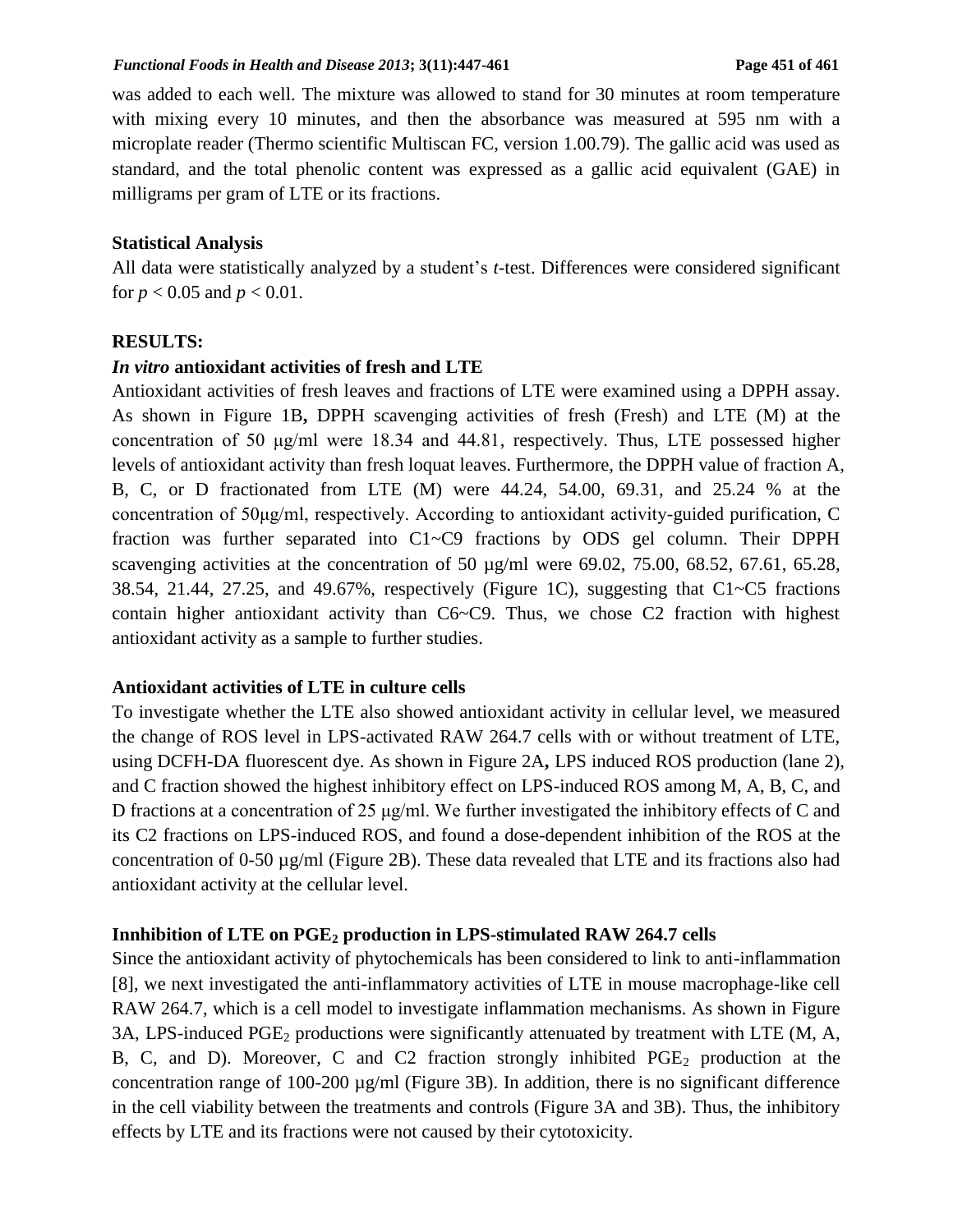was added to each well. The mixture was allowed to stand for 30 minutes at room temperature with mixing every 10 minutes, and then the absorbance was measured at 595 nm with a microplate reader (Thermo scientific Multiscan FC, version 1.00.79). The gallic acid was used as standard, and the total phenolic content was expressed as a gallic acid equivalent (GAE) in milligrams per gram of LTE or its fractions.

#### **Statistical Analysis**

All data were statistically analyzed by a student's *t*-test. Differences were considered significant for  $p < 0.05$  and  $p < 0.01$ .

#### **RESULTS:**

#### *In vitro* **antioxidant activities of fresh and LTE**

Antioxidant activities of fresh leaves and fractions of LTE were examined using a DPPH assay. As shown in Figure 1B**,** DPPH scavenging activities of fresh (Fresh) and LTE (M) at the concentration of 50 μg/ml were 18.34 and 44.81, respectively. Thus, LTE possessed higher levels of antioxidant activity than fresh loquat leaves. Furthermore, the DPPH value of fraction A, B, C, or D fractionated from LTE (M) were 44.24, 54.00, 69.31, and 25.24 % at the concentration of 50μg/ml, respectively. According to antioxidant activity-guided purification, C fraction was further separated into C1~C9 fractions by ODS gel column. Their DPPH scavenging activities at the concentration of 50 µg/ml were 69.02, 75.00, 68.52, 67.61, 65.28, 38.54, 21.44, 27.25, and 49.67%, respectively (Figure 1C), suggesting that C1~C5 fractions contain higher antioxidant activity than C6~C9. Thus, we chose C2 fraction with highest antioxidant activity as a sample to further studies.

## **Antioxidant activities of LTE in culture cells**

To investigate whether the LTE also showed antioxidant activity in cellular level, we measured the change of ROS level in LPS-activated RAW 264.7 cells with or without treatment of LTE, using DCFH-DA fluorescent dye. As shown in Figure 2A**,** LPS induced ROS production (lane 2), and C fraction showed the highest inhibitory effect on LPS-induced ROS among M, A, B, C, and D fractions at a concentration of 25 μg/ml. We further investigated the inhibitory effects of C and its C2 fractions on LPS-induced ROS, and found a dose-dependent inhibition of the ROS at the concentration of 0-50 µg/ml (Figure 2B). These data revealed that LTE and its fractions also had antioxidant activity at the cellular level.

#### **Innhibition of LTE on PGE<sup>2</sup> production in LPS-stimulated RAW 264.7 cells**

Since the antioxidant activity of phytochemicals has been considered to link to anti-inflammation [8], we next investigated the anti-inflammatory activities of LTE in mouse macrophage-like cell RAW 264.7, which is a cell model to investigate inflammation mechanisms. As shown in Figure 3A, LPS-induced  $PGE_2$  productions were significantly attenuated by treatment with LTE (M, A, B, C, and D). Moreover, C and C2 fraction strongly inhibited  $PGE_2$  production at the concentration range of 100-200  $\mu$ g/ml (Figure 3B). In addition, there is no significant difference in the cell viability between the treatments and controls (Figure 3A and 3B). Thus, the inhibitory effects by LTE and its fractions were not caused by their cytotoxicity.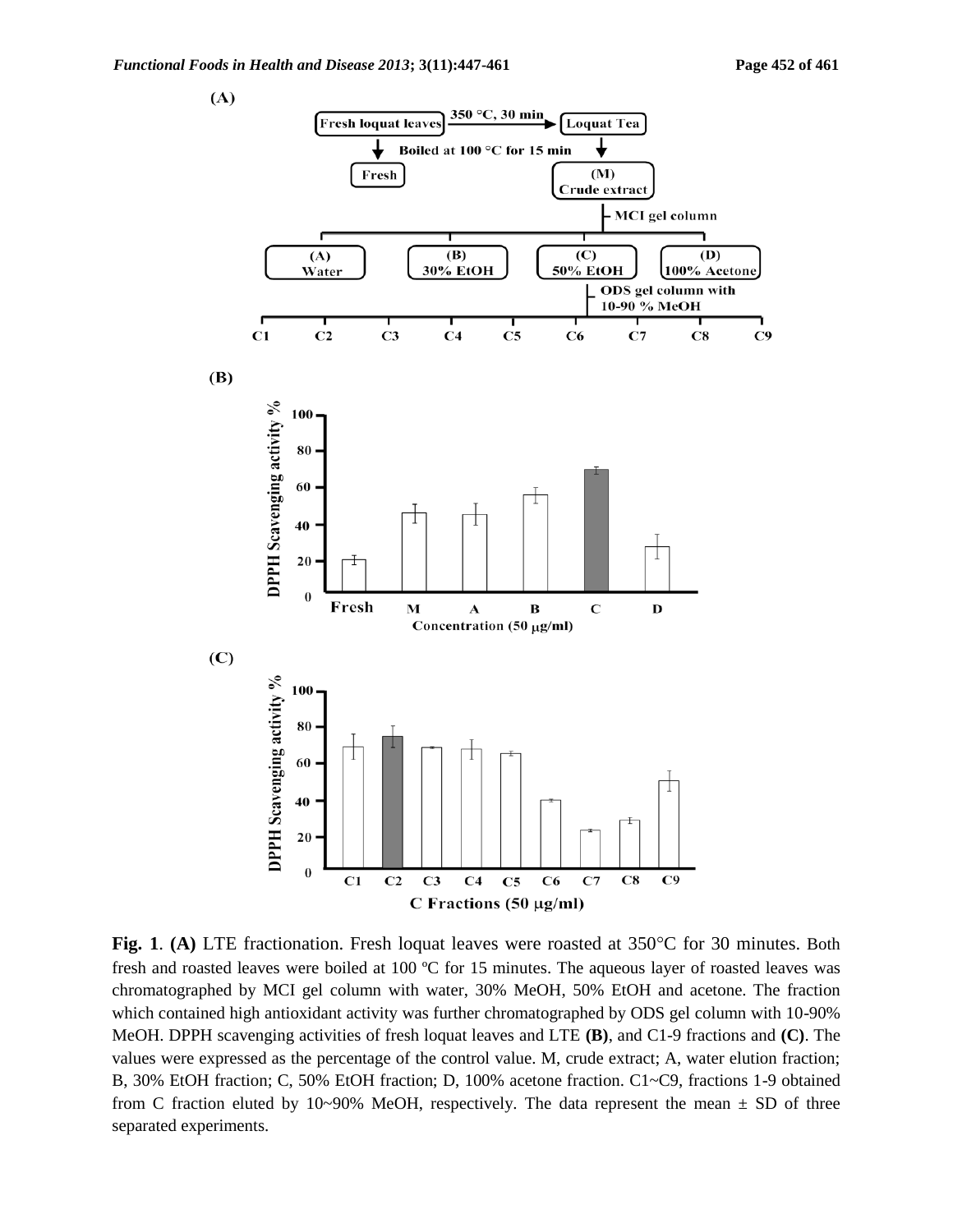$(A)$ 



Fig. 1. (A) LTE fractionation. Fresh loquat leaves were roasted at 350°C for 30 minutes. Both fresh and roasted leaves were boiled at 100 ºC for 15 minutes. The aqueous layer of roasted leaves was chromatographed by MCI gel column with water, 30% MeOH, 50% EtOH and acetone. The fraction which contained high antioxidant activity was further chromatographed by ODS gel column with 10-90% MeOH. DPPH scavenging activities of fresh loquat leaves and LTE **(B)**, and C1-9 fractions and **(C)**. The values were expressed as the percentage of the control value. M, crude extract; A, water elution fraction; B, 30% EtOH fraction; C, 50% EtOH fraction; D, 100% acetone fraction. C1~C9, fractions 1-9 obtained from C fraction eluted by 10~90% MeOH, respectively. The data represent the mean  $\pm$  SD of three separated experiments.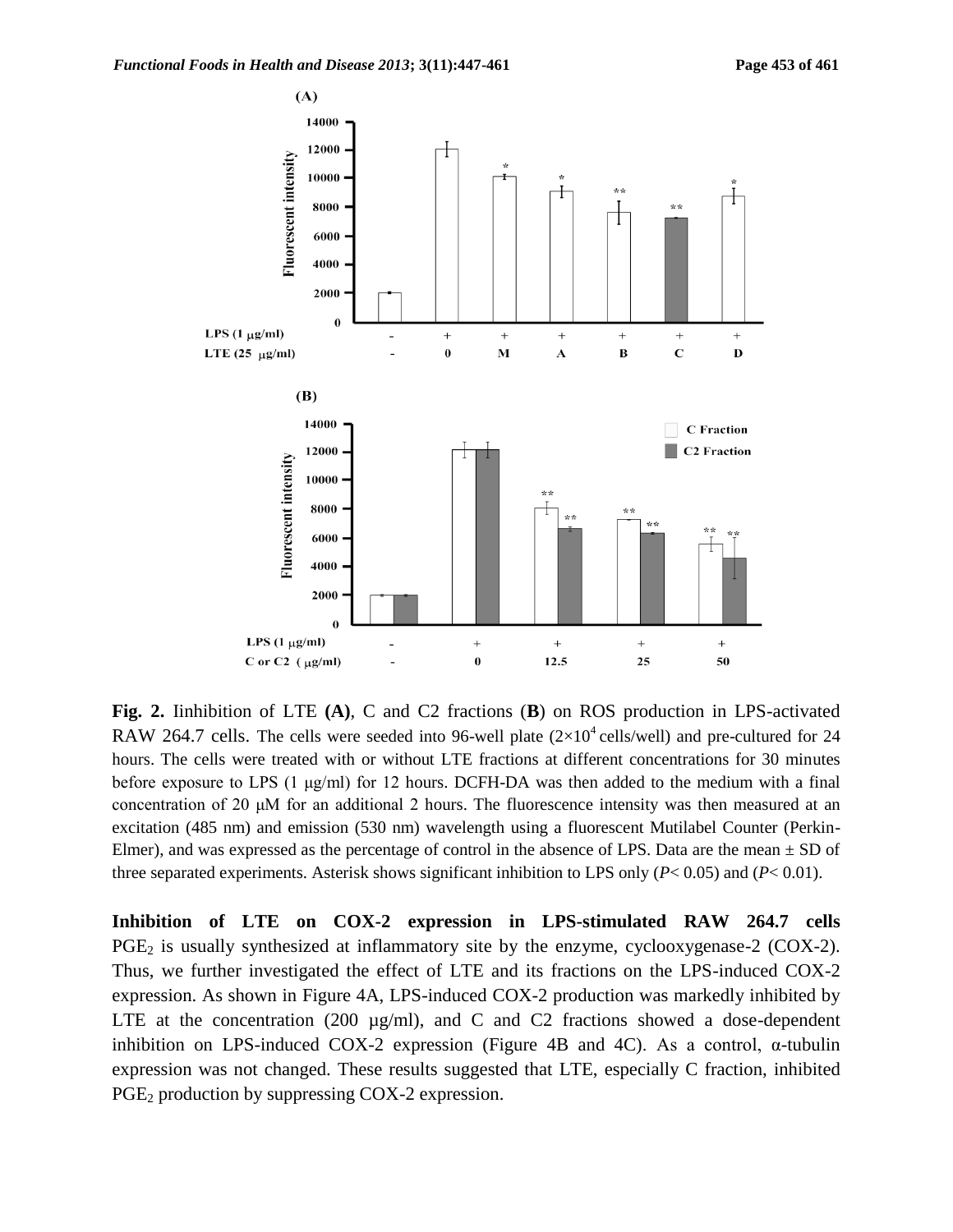

**Fig. 2.** Iinhibition of LTE **(A)**, C and C2 fractions (**B**) on ROS production in LPS-activated RAW 264.7 cells. The cells were seeded into 96-well plate  $(2\times10^4 \text{ cells/well})$  and pre-cultured for 24 hours. The cells were treated with or without LTE fractions at different concentrations for 30 minutes before exposure to LPS (1  $\mu$ g/ml) for 12 hours. DCFH-DA was then added to the medium with a final concentration of 20 μM for an additional 2 hours. The fluorescence intensity was then measured at an excitation (485 nm) and emission (530 nm) wavelength using a fluorescent Mutilabel Counter (Perkin-Elmer), and was expressed as the percentage of control in the absence of LPS. Data are the mean  $\pm$  SD of three separated experiments. Asterisk shows significant inhibition to LPS only (*P*< 0.05) and (*P*< 0.01).

**Inhibition of LTE on COX-2 expression in LPS-stimulated RAW 264.7 cells**   $PGE_2$  is usually synthesized at inflammatory site by the enzyme, cyclooxygenase-2 (COX-2). Thus, we further investigated the effect of LTE and its fractions on the LPS-induced COX-2 expression. As shown in Figure 4A, LPS-induced COX-2 production was markedly inhibited by LTE at the concentration (200  $\mu$ g/ml), and C and C2 fractions showed a dose-dependent inhibition on LPS-induced COX-2 expression (Figure 4B and 4C). As a control,  $\alpha$ -tubulin expression was not changed. These results suggested that LTE, especially C fraction, inhibited PGE<sub>2</sub> production by suppressing COX-2 expression.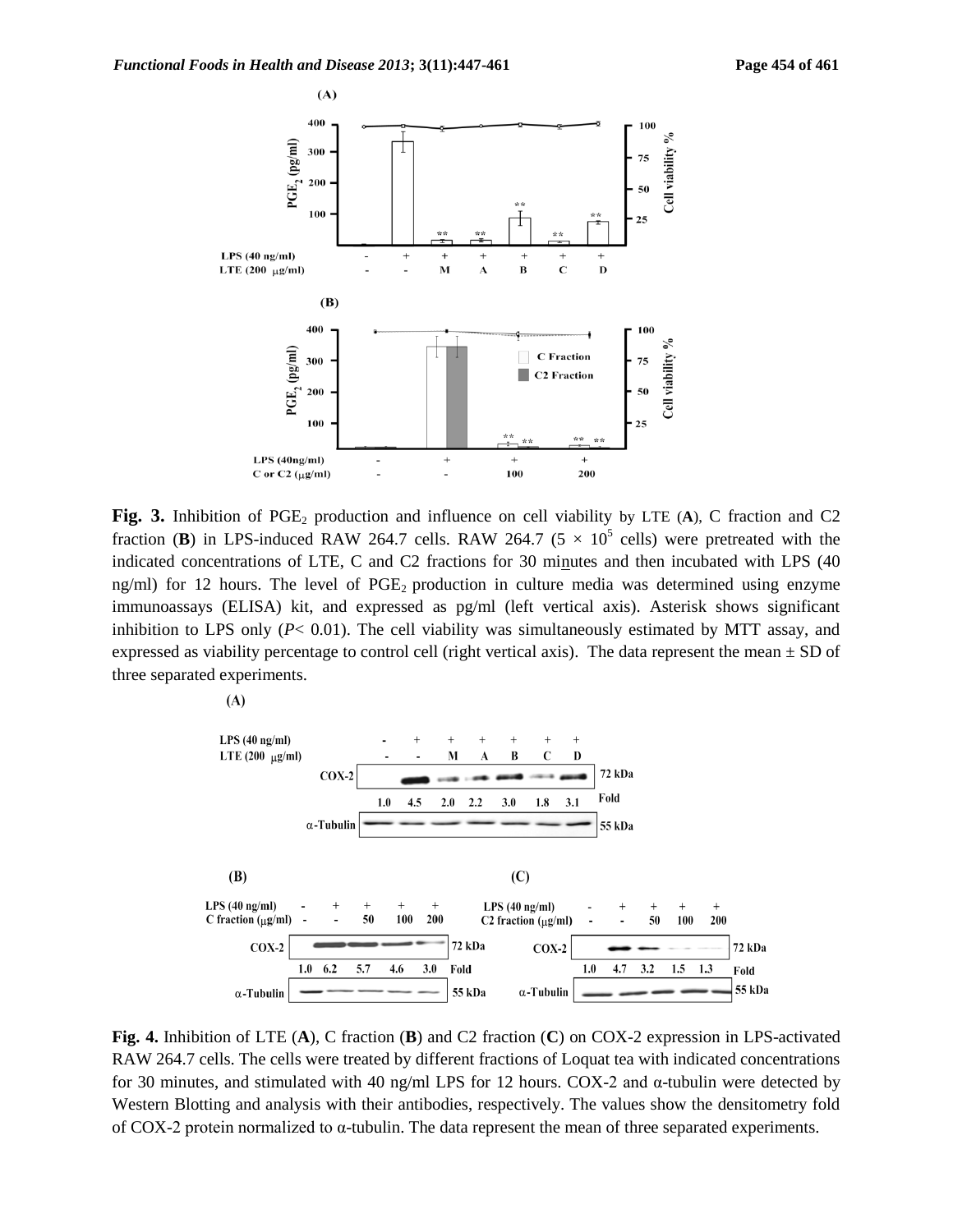

**Fig. 3.** Inhibition of PGE<sub>2</sub> production and influence on cell viability by LTE (A), C fraction and C2 fraction (**B**) in LPS-induced RAW 264.7 cells. RAW 264.7 ( $5 \times 10^5$  cells) were pretreated with the indicated concentrations of LTE, C and C2 fractions for 30 minutes and then incubated with LPS (40 ng/ml) for 12 hours. The level of  $PGE_2$  production in culture media was determined using enzyme immunoassays (ELISA) kit, and expressed as pg/ml (left vertical axis). Asterisk shows significant inhibition to LPS only  $(P< 0.01)$ . The cell viability was simultaneously estimated by MTT assay, and expressed as viability percentage to control cell (right vertical axis). The data represent the mean  $\pm$  SD of three separated experiments.

 $(A)$ 



**Fig. 4.** Inhibition of LTE (**A**), C fraction (**B**) and C2 fraction (**C**) on COX-2 expression in LPS-activated RAW 264.7 cells. The cells were treated by different fractions of Loquat tea with indicated concentrations for 30 minutes, and stimulated with 40 ng/ml LPS for 12 hours. COX-2 and α-tubulin were detected by Western Blotting and analysis with their antibodies, respectively. The values show the densitometry fold of COX-2 protein normalized to α-tubulin. The data represent the mean of three separated experiments.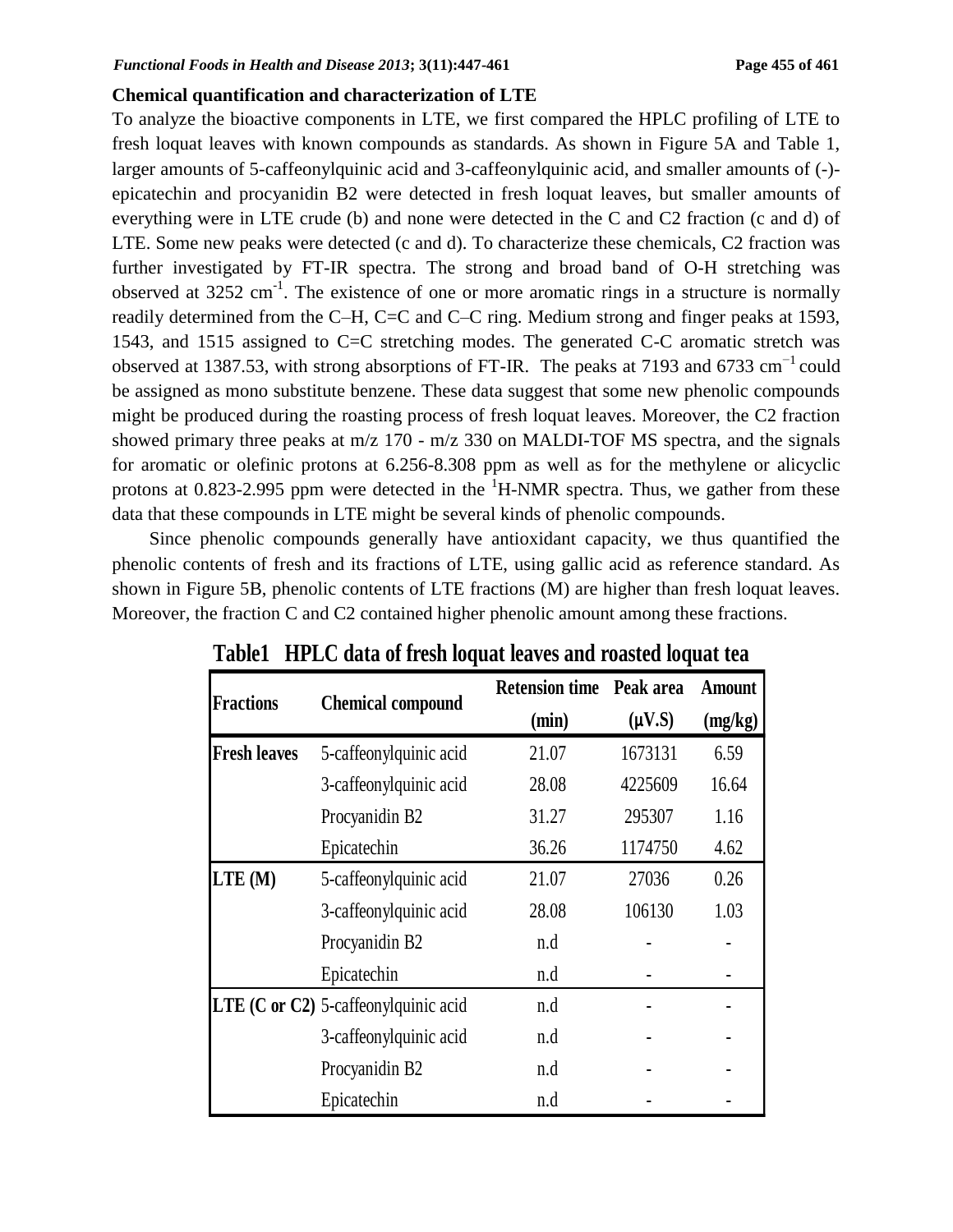#### **Chemical quantification and characterization of LTE**

To analyze the bioactive components in LTE, we first compared the HPLC profiling of LTE to fresh loquat leaves with known compounds as standards. As shown in Figure 5A and Table 1, larger amounts of 5-caffeonylquinic acid and 3-caffeonylquinic acid, and smaller amounts of (-) epicatechin and procyanidin B2 were detected in fresh loquat leaves, but smaller amounts of everything were in LTE crude (b) and none were detected in the C and C2 fraction (c and d) of LTE. Some new peaks were detected (c and d). To characterize these chemicals, C2 fraction was further investigated by FT-IR spectra. The strong and broad band of O-H stretching was observed at 3252 cm<sup>-1</sup>. The existence of one or more aromatic rings in a structure is normally readily determined from the C–H, C=C and C–C ring. Medium strong and finger peaks at 1593, 1543, and 1515 assigned to C=C stretching modes. The generated C-C aromatic stretch was observed at 1387.53, with strong absorptions of FT-IR. The peaks at 7193 and 6733  $cm^{-1}$  could be assigned as mono substitute benzene. These data suggest that some new phenolic compounds might be produced during the roasting process of fresh loquat leaves. Moreover, the C2 fraction showed primary three peaks at m/z 170 - m/z 330 on MALDI-TOF MS spectra, and the signals for aromatic or olefinic protons at 6.256-8.308 ppm as well as for the methylene or alicyclic protons at 0.823-2.995 ppm were detected in the  ${}^{1}$ H-NMR spectra. Thus, we gather from these data that these compounds in LTE might be several kinds of phenolic compounds.

Since phenolic compounds generally have antioxidant capacity, we thus quantified the phenolic contents of fresh and its fractions of LTE, using gallic acid as reference standard. As shown in Figure 5B, phenolic contents of LTE fractions (M) are higher than fresh loquat leaves. Moreover, the fraction C and C2 contained higher phenolic amount among these fractions.

| <b>Fractions</b>    | <b>Chemical compound</b>                  | <b>Retension time</b> | Peak area   | <b>Amount</b> |
|---------------------|-------------------------------------------|-----------------------|-------------|---------------|
|                     |                                           | (min)                 | $(\mu V.S)$ | (mg/kg)       |
| <b>Fresh leaves</b> | 5-caffeonylquinic acid                    | 21.07                 | 1673131     | 6.59          |
|                     | 3-caffeonylquinic acid                    | 28.08                 | 4225609     | 16.64         |
|                     | Procyanidin B2                            | 31.27                 | 295307      | 1.16          |
|                     | Epicatechin                               | 36.26                 | 1174750     | 4.62          |
| LTE (M)             | 5-caffeonylquinic acid                    | 21.07                 | 27036       | 0.26          |
|                     | 3-caffeonylquinic acid                    | 28.08                 | 106130      | 1.03          |
|                     | Procyanidin B2                            | n.d                   |             |               |
|                     | Epicatechin                               | n.d                   |             |               |
|                     | LTE $(C$ or $C2$ ) 5-caffeonylquinic acid | n.d                   |             |               |
|                     | 3-caffeonylquinic acid                    | n.d                   |             |               |
|                     | Procyanidin B2                            | n.d                   |             |               |
|                     | Epicatechin                               | n.d                   |             |               |

**Table1 HPLC data of fresh loquat leaves and roasted loquat tea**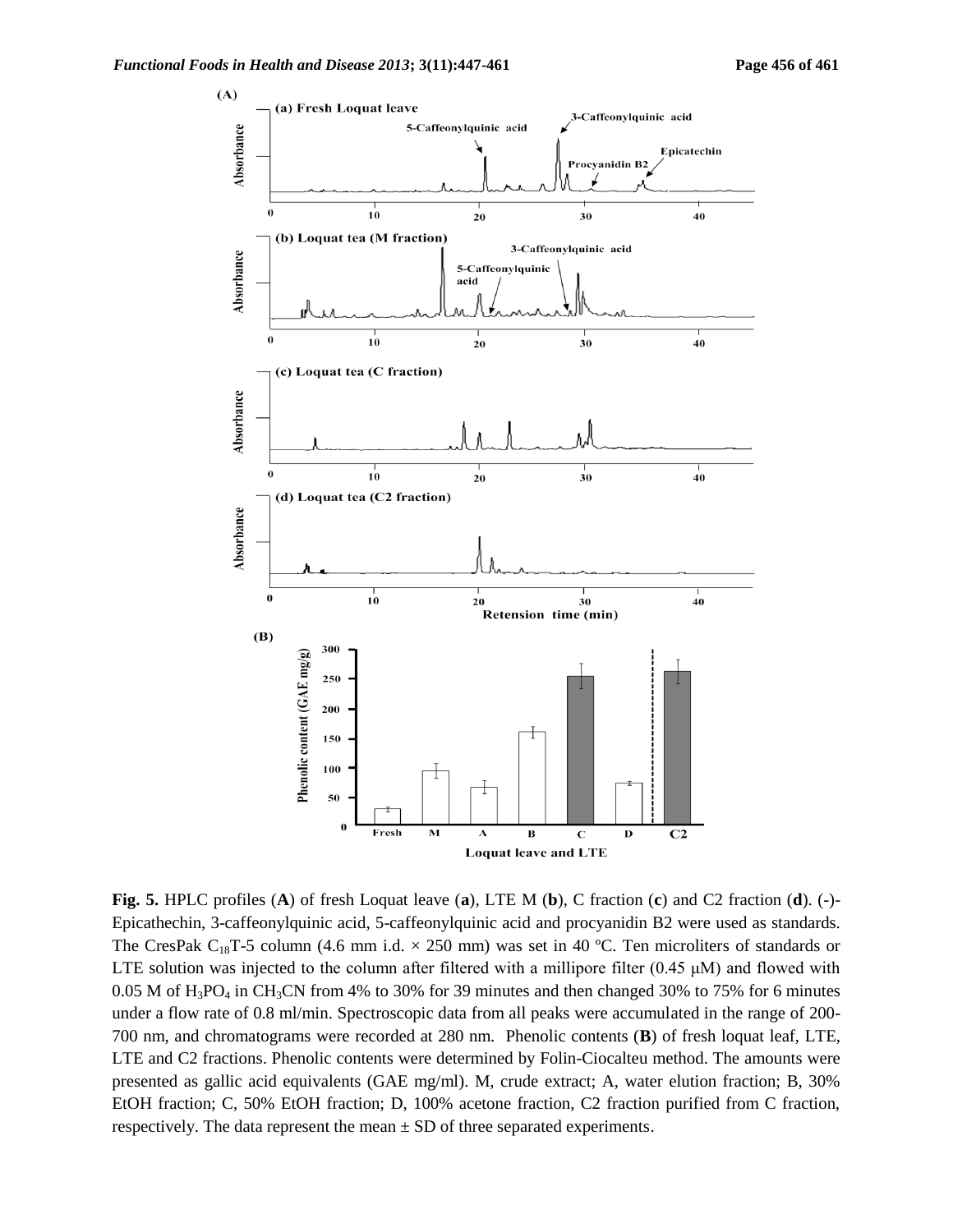

**Fig. 5.** HPLC profiles (**A**) of fresh Loquat leave (**a**), LTE M (**b**), C fraction (**c**) and C2 fraction (**d**). (-)- Epicathechin, 3-caffeonylquinic acid, 5-caffeonylquinic acid and procyanidin B2 were used as standards. The CresPak C<sub>18</sub>T-5 column (4.6 mm i.d.  $\times$  250 mm) was set in 40 °C. Ten microliters of standards or LTE solution was injected to the column after filtered with a millipore filter (0.45 μM) and flowed with 0.05 M of  $H_3PO_4$  in CH<sub>3</sub>CN from 4% to 30% for 39 minutes and then changed 30% to 75% for 6 minutes under a flow rate of 0.8 ml/min. Spectroscopic data from all peaks were accumulated in the range of 200- 700 nm, and chromatograms were recorded at 280 nm. Phenolic contents (**B**) of fresh loquat leaf, LTE, LTE and C2 fractions. Phenolic contents were determined by Folin-Ciocalteu method. The amounts were presented as gallic acid equivalents (GAE mg/ml). M, crude extract; A, water elution fraction; B, 30% EtOH fraction; C, 50% EtOH fraction; D, 100% acetone fraction, C2 fraction purified from C fraction, respectively. The data represent the mean  $\pm$  SD of three separated experiments.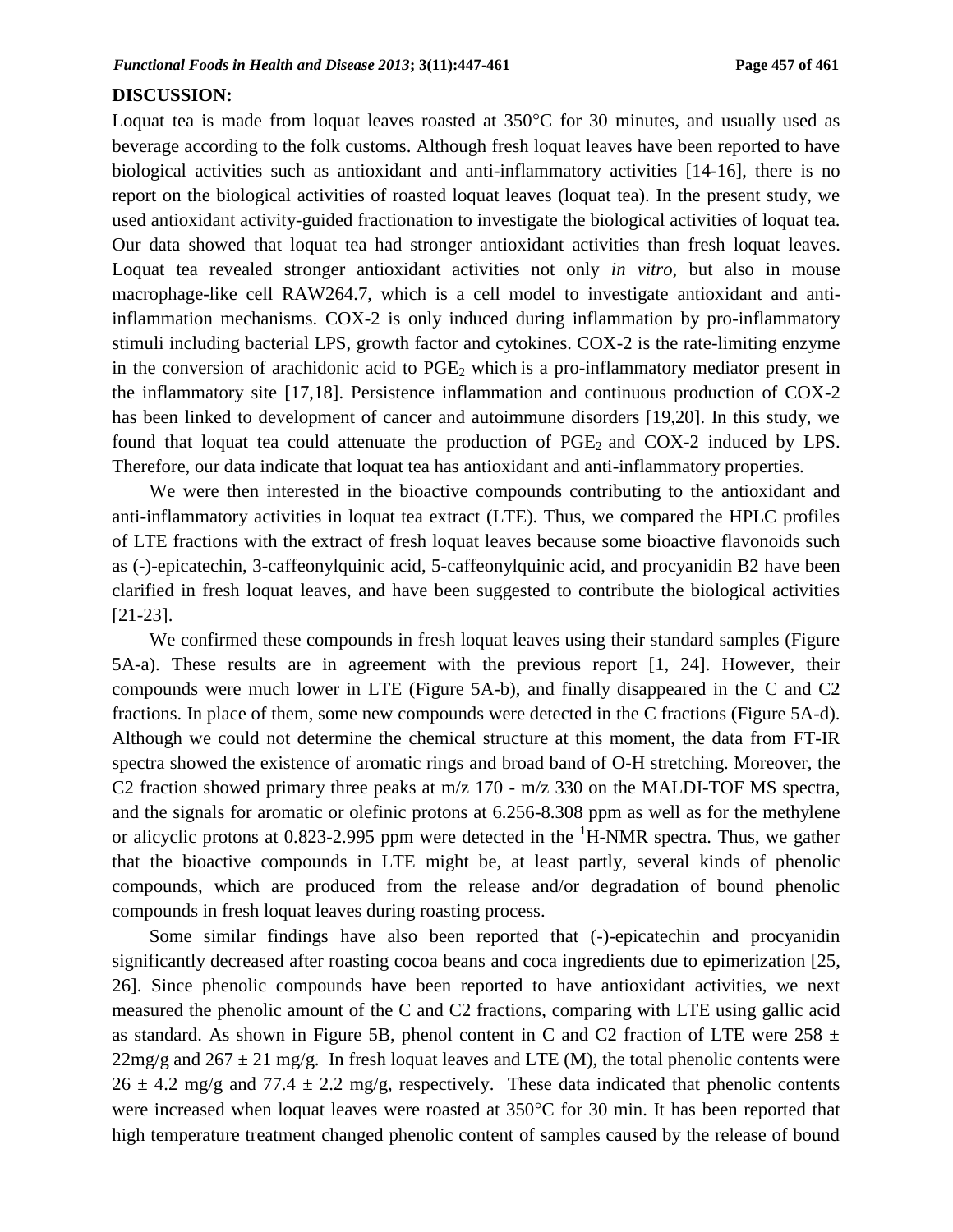#### **DISCUSSION:**

Loquat tea is made from loquat leaves roasted at  $350^{\circ}$ C for 30 minutes, and usually used as beverage according to the folk customs. Although fresh loquat leaves have been reported to have biological activities such as antioxidant and anti-inflammatory activities [14-16], there is no report on the biological activities of roasted loquat leaves (loquat tea). In the present study, we used antioxidant activity-guided fractionation to investigate the biological activities of loquat tea. Our data showed that loquat tea had stronger antioxidant activities than fresh loquat leaves. Loquat tea revealed stronger antioxidant activities not only *in vitro,* but also in mouse macrophage-like cell RAW264.7, which is a cell model to investigate antioxidant and antiinflammation mechanisms. COX-2 is only induced during inflammation by pro-inflammatory stimuli including bacterial LPS, growth factor and cytokines. COX-2 is the rate-limiting enzyme in the conversion of arachidonic acid to  $PGE_2$  which is a pro-inflammatory mediator present in the inflammatory site [17,18]. Persistence inflammation and continuous production of COX-2 has been linked to development of cancer and autoimmune disorders [19,20]. In this study, we found that loquat tea could attenuate the production of  $PGE_2$  and  $COX-2$  induced by LPS. Therefore, our data indicate that loquat tea has antioxidant and anti-inflammatory properties.

We were then interested in the bioactive compounds contributing to the antioxidant and anti-inflammatory activities in loquat tea extract (LTE). Thus, we compared the HPLC profiles of LTE fractions with the extract of fresh loquat leaves because some bioactive flavonoids such as (-)-epicatechin, 3-caffeonylquinic acid, 5-caffeonylquinic acid, and procyanidin B2 have been clarified in fresh loquat leaves, and have been suggested to contribute the biological activities [21-23].

We confirmed these compounds in fresh loquat leaves using their standard samples (Figure 5A-a). These results are in agreement with the previous report [1, 24]. However, their compounds were much lower in LTE (Figure 5A-b), and finally disappeared in the C and C2 fractions. In place of them, some new compounds were detected in the C fractions (Figure 5A-d). Although we could not determine the chemical structure at this moment, the data from FT-IR spectra showed the existence of aromatic rings and broad band of O-H stretching. Moreover, the C2 fraction showed primary three peaks at m/z 170 - m/z 330 on the MALDI-TOF MS spectra, and the signals for aromatic or olefinic protons at 6.256-8.308 ppm as well as for the methylene or alicyclic protons at 0.823-2.995 ppm were detected in the  ${}^{1}$ H-NMR spectra. Thus, we gather that the bioactive compounds in LTE might be, at least partly, several kinds of phenolic compounds, which are produced from the release and/or degradation of bound phenolic compounds in fresh loquat leaves during roasting process.

Some similar findings have also been reported that (-)-epicatechin and procyanidin significantly decreased after roasting cocoa beans and coca ingredients due to epimerization [25, 26]. Since phenolic compounds have been reported to have antioxidant activities, we next measured the phenolic amount of the C and C2 fractions, comparing with LTE using gallic acid as standard. As shown in Figure 5B, phenol content in C and C2 fraction of LTE were  $258 \pm$  $22mg/g$  and  $267 \pm 21$  mg/g. In fresh loquat leaves and LTE (M), the total phenolic contents were  $26 \pm 4.2$  mg/g and  $77.4 \pm 2.2$  mg/g, respectively. These data indicated that phenolic contents were increased when loquat leaves were roasted at  $350^{\circ}$ C for 30 min. It has been reported that high temperature treatment changed phenolic content of samples caused by the release of bound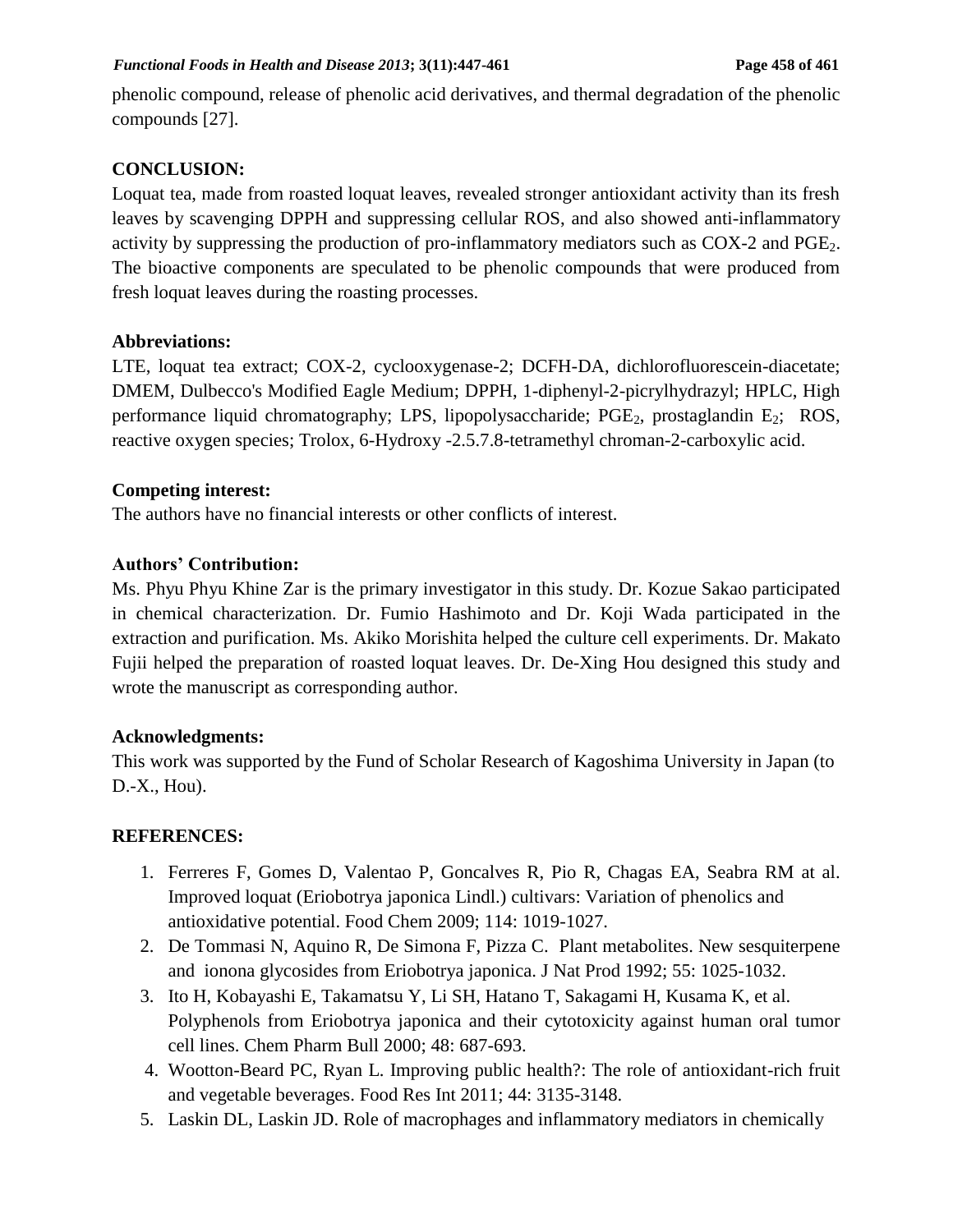phenolic compound, release of phenolic acid derivatives, and thermal degradation of the phenolic compounds [27].

## **CONCLUSION:**

Loquat tea, made from roasted loquat leaves, revealed stronger antioxidant activity than its fresh leaves by scavenging DPPH and suppressing cellular ROS, and also showed anti-inflammatory activity by suppressing the production of pro-inflammatory mediators such as  $COX-2$  and  $PGE_2$ . The bioactive components are speculated to be phenolic compounds that were produced from fresh loquat leaves during the roasting processes.

### **Abbreviations:**

LTE, loquat tea extract; COX-2, cyclooxygenase-2; DCFH-DA, dichlorofluorescein-diacetate; DMEM, Dulbecco's Modified Eagle Medium; DPPH, 1-diphenyl-2-picrylhydrazyl; HPLC, High performance liquid chromatography; LPS, lipopolysaccharide; PGE<sub>2</sub>, prostaglandin E<sub>2</sub>; ROS, reactive oxygen species; Trolox, 6-Hydroxy -2.5.7.8-tetramethyl chroman-2-carboxylic acid.

### **Competing interest:**

The authors have no financial interests or other conflicts of interest.

#### **Authors' Contribution:**

Ms. Phyu Phyu Khine Zar is the primary investigator in this study. Dr. Kozue Sakao participated in chemical characterization. Dr. Fumio Hashimoto and Dr. Koji Wada participated in the extraction and purification. Ms. Akiko Morishita helped the culture cell experiments. Dr. Makato Fujii helped the preparation of roasted loquat leaves. Dr. De-Xing Hou designed this study and wrote the manuscript as corresponding author.

### **Acknowledgments:**

This work was supported by the Fund of Scholar Research of Kagoshima University in Japan (to D.-X., Hou).

### **REFERENCES:**

- 1. Ferreres F, Gomes D, Valentao P, Goncalves R, Pio R, Chagas EA, Seabra RM at al. Improved loquat (Eriobotrya japonica Lindl.) cultivars: Variation of phenolics and antioxidative potential. Food Chem 2009; 114: 1019-1027.
- 2. De Tommasi N, Aquino R, De Simona F, Pizza C. Plant metabolites. New sesquiterpene and ionona glycosides from Eriobotrya japonica. J Nat Prod 1992; 55: 1025-1032.
- 3. Ito H, Kobayashi E, Takamatsu Y, Li SH, Hatano T, Sakagami H, Kusama K, et al. Polyphenols from Eriobotrya japonica and their cytotoxicity against human oral tumor cell lines. Chem Pharm Bull 2000; 48: 687-693.
- 4. Wootton-Beard PC, Ryan L. Improving public health?: The role of antioxidant-rich fruit and vegetable beverages. Food Res Int 2011; 44: 3135-3148.
- 5. Laskin DL, Laskin JD. Role of macrophages and inflammatory mediators in chemically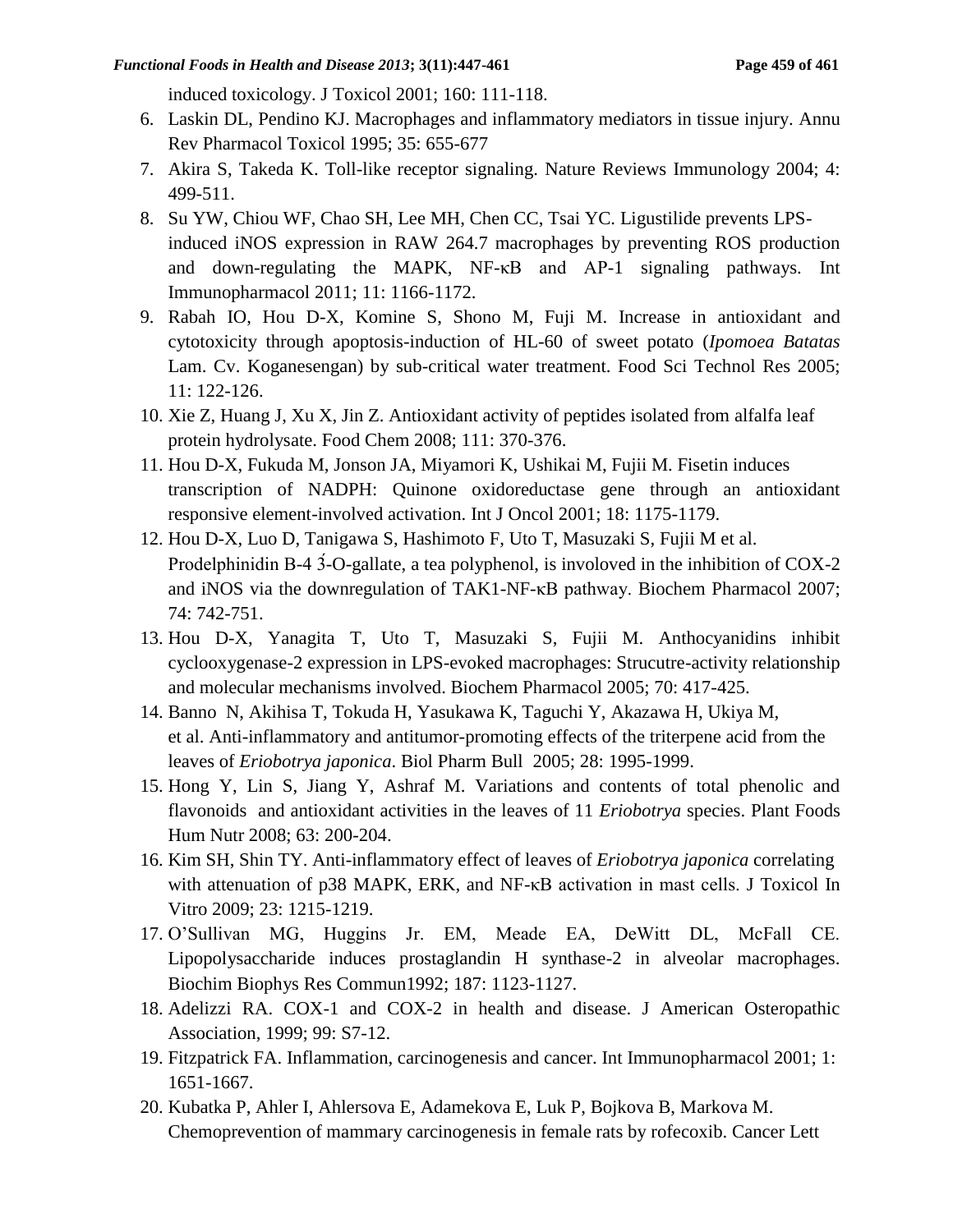induced toxicology. J Toxicol 2001; 160: 111-118.

- 6. Laskin DL, Pendino KJ. Macrophages and inflammatory mediators in tissue injury. Annu Rev Pharmacol Toxicol 1995; 35: 655-677
- 7. Akira S, Takeda K. Toll-like receptor signaling. Nature Reviews Immunology 2004; 4: 499-511.
- 8. Su YW, Chiou WF, Chao SH, Lee MH, Chen CC, Tsai YC. Ligustilide prevents LPSinduced iNOS expression in RAW 264.7 macrophages by preventing ROS production and down-regulating the MAPK, NF-κB and AP-1 signaling pathways. Int Immunopharmacol 2011; 11: 1166-1172.
- 9. Rabah IO, Hou D-X, Komine S, Shono M, Fuji M. Increase in antioxidant and cytotoxicity through apoptosis-induction of HL-60 of sweet potato (*Ipomoea Batatas* Lam. Cv. Koganesengan) by sub-critical water treatment. Food Sci Technol Res 2005; 11: 122-126.
- 10. Xie Z, Huang J, Xu X, Jin Z. Antioxidant activity of peptides isolated from alfalfa leaf protein hydrolysate. Food Chem 2008; 111: 370-376.
- 11. Hou D-X, Fukuda M, Jonson JA, Miyamori K, Ushikai M, Fujii M. Fisetin induces transcription of NADPH: Quinone oxidoreductase gene through an antioxidant responsive element-involved activation. Int J Oncol 2001; 18: 1175-1179.
- 12. Hou D-X, Luo D, Tanigawa S, Hashimoto F, Uto T, Masuzaki S, Fujii M et al. Prodelphinidin B-4 3-O-gallate, a tea polyphenol, is involoved in the inhibition of COX-2 and iNOS via the downregulation of TAK1-NF-κB pathway. Biochem Pharmacol 2007; 74: 742-751.
- 13. Hou D-X, Yanagita T, Uto T, Masuzaki S, Fujii M. Anthocyanidins inhibit cyclooxygenase-2 expression in LPS-evoked macrophages: Strucutre-activity relationship and molecular mechanisms involved. Biochem Pharmacol 2005; 70: 417-425.
- 14. Banno N, Akihisa T, Tokuda H, Yasukawa K, Taguchi Y, Akazawa H, Ukiya M, et al. Anti-inflammatory and antitumor-promoting effects of the triterpene acid from the leaves of *Eriobotrya japonica*. Biol Pharm Bull 2005; 28: 1995-1999.
- 15. Hong Y, Lin S, Jiang Y, Ashraf M. Variations and contents of total phenolic and flavonoids and antioxidant activities in the leaves of 11 *Eriobotrya* species. Plant Foods Hum Nutr 2008; 63: 200-204.
- 16. Kim SH, Shin TY. Anti-inflammatory effect of leaves of *Eriobotrya japonica* correlating with attenuation of p38 MAPK, ERK, and NF-κB activation in mast cells. J Toxicol In Vitro 2009; 23: 1215-1219.
- 17. O'Sullivan MG, Huggins Jr. EM, Meade EA, DeWitt DL, McFall CE. Lipopolysaccharide induces prostaglandin H synthase-2 in alveolar macrophages. Biochim Biophys Res Commun1992; 187: 1123-1127.
- 18. Adelizzi RA. COX-1 and COX-2 in health and disease. J American Osteropathic Association, 1999; 99: S7-12.
- 19. Fitzpatrick FA. Inflammation, carcinogenesis and cancer. Int Immunopharmacol 2001; 1: 1651-1667.
- 20. Kubatka P, Ahler I, Ahlersova E, Adamekova E, Luk P, Bojkova B, Markova M. Chemoprevention of mammary carcinogenesis in female rats by rofecoxib. Cancer Lett